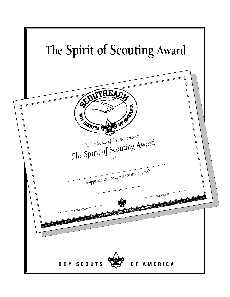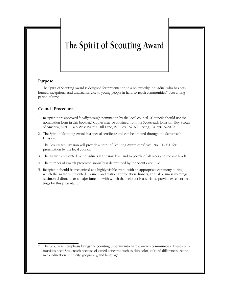# The Spirit of Scouting Award

#### **Purpose**

The Spirit of Scouting Award is designed for presentation to a noteworthy individual who has performed exceptional and unusual service to young people in hard-to-reach communities\* over a long period of time.

### **Council Procedures**

- 1. Recipients are approved *locally*through nomination by the local council. (Councils should use the nomination form in this booklet.) Copies may be obtained from the Scoutreach Division, Boy Scouts of America, S260, 1325 West Walnut Hill Lane, P.O. Box 152079, Irving, TX 75015-2079.
- 2. The Spirit of Scouting Award is a special certificate and can be ordered through the Scoutreach Division.

The Scoutreach Division will provide a Spirit of Scouting Award certificate, No. 11-031, for presentation by the local council.

- 3 . The award is presented to individuals at the unit level and to people of all races and income levels.
- 4 . The number of awards presented annually is determined by the Scout executive.
- 5 . Recipients should be recognized at a highly visible event, with an appropriate ceremony during which the award is presented. Council and district appreciation dinners, annual business meetings, testimonial dinners, or a major function with which the recipient is associated provide excellent settings for this presentation.

The Scoutreach emphasis brings the Scouting program into hard-to-reach communities. These communities need Scoutreach because of varied concerns such as skin color, cultural differences, economics, education, ethnicity, geography, and language.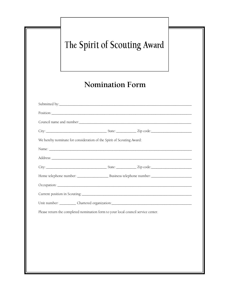|                        | The Spirit of Scouting Award                                                      |  |  |  |  |  |  |
|------------------------|-----------------------------------------------------------------------------------|--|--|--|--|--|--|
| <b>Nomination Form</b> |                                                                                   |  |  |  |  |  |  |
|                        |                                                                                   |  |  |  |  |  |  |
|                        |                                                                                   |  |  |  |  |  |  |
|                        |                                                                                   |  |  |  |  |  |  |
|                        |                                                                                   |  |  |  |  |  |  |
|                        | We hereby nominate for consideration of the Spirit of Scouting Award:             |  |  |  |  |  |  |
|                        |                                                                                   |  |  |  |  |  |  |
|                        |                                                                                   |  |  |  |  |  |  |
|                        |                                                                                   |  |  |  |  |  |  |
|                        |                                                                                   |  |  |  |  |  |  |
|                        |                                                                                   |  |  |  |  |  |  |
|                        |                                                                                   |  |  |  |  |  |  |
|                        |                                                                                   |  |  |  |  |  |  |
|                        | Please return the completed nomination form to your local council service center. |  |  |  |  |  |  |
|                        |                                                                                   |  |  |  |  |  |  |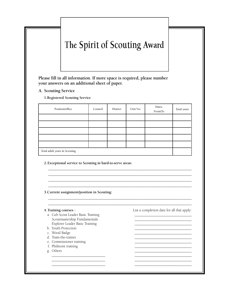## The Spirit of Scouting Award

Please fill in all information. If more space is required, please number **your answers on an additional sheet of paper.**

**A.** Scouting Service

**1. Registered Scouting Service** 

| Position/office               | Council | District | Unit No. | Dates:<br>From/To | Total years |  |
|-------------------------------|---------|----------|----------|-------------------|-------------|--|
|                               |         |          |          |                   |             |  |
|                               |         |          |          |                   |             |  |
|                               |         |          |          |                   |             |  |
|                               |         |          |          |                   |             |  |
|                               |         |          |          |                   |             |  |
| Total adult years in Scouting |         |          |          |                   |             |  |

\_ \_ \_ \_ \_ \_ \_ \_ \_ \_ \_ \_ \_ \_ \_ \_ \_ \_ \_ \_ \_ \_ \_ \_ \_ \_ \_ \_ \_ \_ \_ \_ \_ \_ \_ \_ \_ \_ \_ \_ \_ \_ \_ \_ \_ \_ \_ \_ \_ \_ \_ \_ \_ \_ \_ \_ \_ \_ \_ \_ \_ \_ \_ \_ \_ \_ \_ \_ \_ \_ \_ \_ \_ \_ \_ \_ \_ \_ \_ \_ \_ \_ \_ \_ \_ \_ \_ \_ \_ \_ \_ \_ \_ \_ \_ \_ \_ \_ \_ \_ \_ \_ \_ \_ \_ \_ \_ \_ \_ \_ \_ \_ \_ \_ \_ \_ \_ \_ \_ \_ \_ \_ \_ \_ \_ \_ \_ \_ \_ \_ \_ \_ \_ \_ \_ \_ \_ \_ \_ \_ \_ \_ \_ \_ \_ \_ \_ \_ \_ \_ \_ \_ \_ \_ \_ \_ \_ \_ \_ \_ \_ \_ \_ \_ \_ \_ \_ \_ \_ \_ \_ \_ \_ \_ \_ \_ \_ \_ \_ \_ \_ \_ \_ \_ \_ \_ \_ \_ \_ \_ \_ \_ \_ \_ \_ \_ \_ \_ \_ \_ \_ \_ \_ \_ \_ \_ \_ \_ \_ \_ \_ \_ \_ \_ \_ \_ \_ \_ \_ \_ \_ \_ \_ \_ \_ \_ \_ \_ \_ \_ \_ \_ \_ \_ \_ \_ \_ \_ \_ \_ \_ \_ \_ \_ \_ \_ \_ \_ \_ \_ \_ \_ \_ \_ \_ \_ \_ \_ \_ \_ \_ \_ \_ \_ \_ \_ \_ \_ \_ \_ \_ \_ \_ \_ \_ \_ \_ \_ \_ \_ \_ \_ \_ \_ \_ \_ \_ \_ \_ \_ \_ \_ \_ \_ \_ \_ \_ \_ \_ \_ \_ \_ \_ \_ \_ \_ \_ \_ \_ \_ \_ \_

\_ \_ \_ \_ \_ \_ \_ \_ \_ \_ \_ \_ \_ \_ \_ \_ \_ \_ \_ \_ \_ \_ \_ \_ \_ \_ \_ \_ \_ \_ \_ \_ \_ \_ \_ \_ \_ \_ \_ \_ \_ \_ \_ \_ \_ \_ \_ \_ \_ \_ \_ \_ \_ \_ \_ \_ \_ \_ \_ \_ \_ \_ \_ \_ \_ \_ \_ \_ \_ \_ \_ \_ \_ \_ \_ \_ \_ \_ \_ \_ \_ \_ \_ \_ \_ \_ \_ \_ \_ \_ \_ \_ \_ \_ \_ \_ \_ \_ \_ \_ \_ \_ \_ \_ \_ \_ \_ \_ \_ \_ \_ \_ \_ \_ \_ \_ \_ \_ \_ \_ \_ \_ \_ \_ \_ \_ \_ \_ \_ \_ \_ \_ \_ \_ \_ \_ \_ \_ \_ \_ \_ \_ \_ \_ \_ \_ \_ \_ \_ \_ \_ \_ \_ \_ \_ \_

\_ \_ \_ \_ \_ \_ \_ \_ \_ \_ \_ \_ \_ \_ \_ \_ \_ \_ \_ \_ \_ \_ \_ \_ \_ \_ \_ \_ \_ \_ \_ \_ \_ \_ \_ \_ \_ \_ \_ \_ \_ \_ \_ \_ \_ \_ \_ \_ \_ \_ \_ \_ \_ \_ \_ \_ \_ \_ \_ \_

**2. Exceptional service to Scouting in hard-to-serve areas:** 

**3 .C u rrent assignment/position in Scouting:**

- a. Cub Scout Leader Basic Training Scoutmastership Fundamentals \_ \_ \_ \_ \_ \_ \_ \_ \_ \_ \_ \_ \_ \_ \_ \_ \_ \_ \_ \_ \_ \_ \_ \_ \_ \_ \_ \_ \_ \_ \_ Explorer Leader Basic Training and the state of the state of the state of the state of the state of the state of the state of the state of the state of the state of the state of the state of the state of the state of the s
- b . Youth Pro t e c t i o n \_ \_ \_ \_ \_ \_ \_ \_ \_ \_ \_ \_ \_ \_ \_ \_ \_ \_ \_ \_ \_ \_ \_ \_ \_ \_ \_ \_ \_ \_ \_
- c . Wood Badge \_ \_ \_ \_ \_ \_ \_ \_ \_ \_ \_ \_ \_ \_ \_ \_ \_ \_ \_ \_ \_ \_ \_ \_ \_ \_ \_ \_ \_ \_ \_
- d. Train-the-trainer
- e. Commissioner training the commissioner training
- f. Philmont training
- g. Others  $\overline{\phantom{a}}$ \_ \_ \_ \_ \_ \_ \_ \_ \_ \_ \_ \_ \_ \_ \_ \_ \_ \_ \_ \_ \_ \_ \_ \_ \_ \_ \_ \_ \_ \_ \_ \_ \_ \_ \_ \_ \_ \_ \_ \_ \_ \_ \_ \_ \_ \_ \_ \_ \_ \_ \_ \_ \_ \_ \_ \_ \_ \_ \_ \_

**4 .Training courses :** List a completion date for all that apply:

\_ \_ \_ \_ \_ \_ \_ \_ \_ \_ \_ \_ \_ \_ \_ \_ \_ \_ \_ \_ \_ \_ \_ \_ \_ \_ \_ \_ \_ \_ \_ \_ \_ \_ \_ \_ \_ \_ \_ \_ \_ \_ \_ \_ \_ \_ \_ \_ \_ \_ \_ \_ \_ \_ \_ \_ \_ \_ \_ \_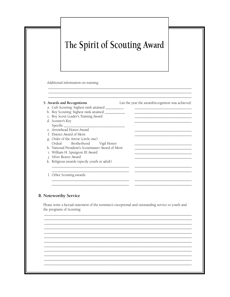## The Spirit of Scouting Award

Additional information on training:

c. Boy Scout Leader's Training Award

e. Arrowhead Honor Award f. District Award of Merit

g. Order of the Arrow (circle one):

i. William H. Spurgeon III Award

Brotherhood

k. Religious awards (specify youth or adult)

h. National President's Scoutmaster Award of Merit

b. Boy Scouting: highest rank attained \_\_\_\_\_\_\_\_\_\_

#### 5. Awards and Recognitions Awards and Recognitions and Elst<br>a. Cub Scouting: highest rank attained \_\_\_\_\_\_\_\_\_\_\_\_

d. Scouter's Key Specific\_

Ordeal

List the year the award/recognition was achieved:

1. Other Scouting awards

j. Silver Beaver Award

**B.** Noteworthy Service

Please write a factual statement of the nominee's exceptional and outstanding service to youth and the programs of Scouting:

Vigil Honor